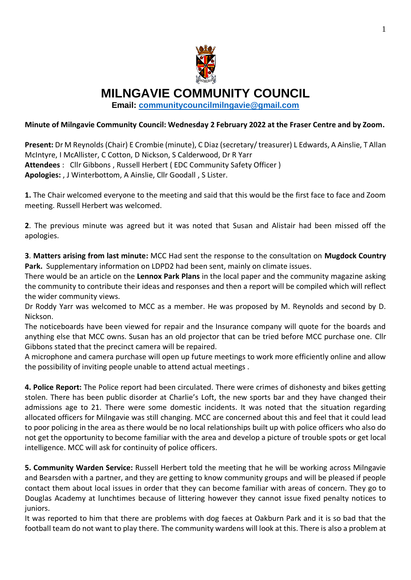

**MILNGAVIE COMMUNITY COUNCIL**

**Email: [communitycouncilmilngavie@gmail.com](mailto:communitycouncilmilngavie@gmail.com)**

## **Minute of Milngavie Community Council: Wednesday 2 February 2022 at the Fraser Centre and by Zoom.**

**Present:** Dr M Reynolds (Chair) E Crombie (minute), C Diaz (secretary/ treasurer) L Edwards, A Ainslie, T Allan McIntyre, I McAllister, C Cotton, D Nickson, S Calderwood, Dr R Yarr **Attendees** : Cllr Gibbons , Russell Herbert ( EDC Community Safety Officer ) **Apologies:** , J Winterbottom, A Ainslie, Cllr Goodall , S Lister.

**1.** The Chair welcomed everyone to the meeting and said that this would be the first face to face and Zoom meeting. Russell Herbert was welcomed.

**2**. The previous minute was agreed but it was noted that Susan and Alistair had been missed off the apologies.

**3**. **Matters arising from last minute:** MCC Had sent the response to the consultation on **Mugdock Country Park.** Supplementary information on LDPD2 had been sent, mainly on climate issues.

There would be an article on the **Lennox Park Plans** in the local paper and the community magazine asking the community to contribute their ideas and responses and then a report will be compiled which will reflect the wider community views.

Dr Roddy Yarr was welcomed to MCC as a member. He was proposed by M. Reynolds and second by D. Nickson.

The noticeboards have been viewed for repair and the Insurance company will quote for the boards and anything else that MCC owns. Susan has an old projector that can be tried before MCC purchase one. Cllr Gibbons stated that the precinct camera will be repaired.

A microphone and camera purchase will open up future meetings to work more efficiently online and allow the possibility of inviting people unable to attend actual meetings .

**4. Police Report:** The Police report had been circulated. There were crimes of dishonesty and bikes getting stolen. There has been public disorder at Charlie's Loft, the new sports bar and they have changed their admissions age to 21. There were some domestic incidents. It was noted that the situation regarding allocated officers for Milngavie was still changing. MCC are concerned about this and feel that it could lead to poor policing in the area as there would be no local relationships built up with police officers who also do not get the opportunity to become familiar with the area and develop a picture of trouble spots or get local intelligence. MCC will ask for continuity of police officers.

**5. Community Warden Service:** Russell Herbert told the meeting that he will be working across Milngavie and Bearsden with a partner, and they are getting to know community groups and will be pleased if people contact them about local issues in order that they can become familiar with areas of concern. They go to Douglas Academy at lunchtimes because of littering however they cannot issue fixed penalty notices to juniors.

It was reported to him that there are problems with dog faeces at Oakburn Park and it is so bad that the football team do not want to play there. The community wardens will look at this. There is also a problem at